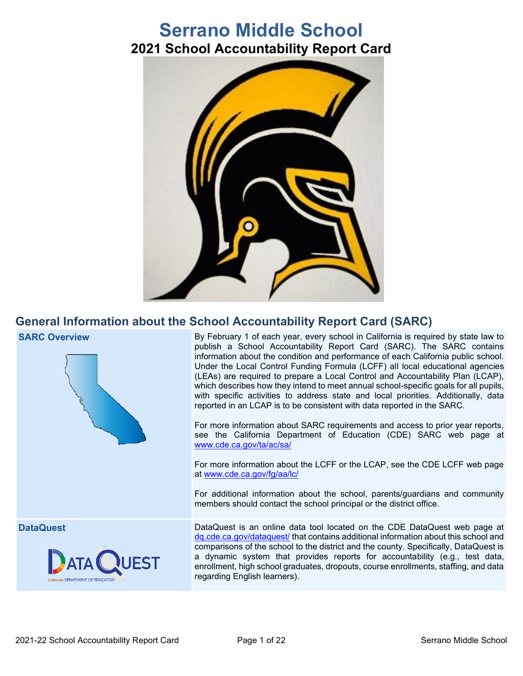# **Serrano Middle School 2021 School Accountability Report Card**



## **General Information about the School Accountability Report Card (SARC)**





**SARC Overview** By February 1 of each year, every school in California is required by state law to publish a School Accountability Report Card (SARC). The SARC contains information about the condition and performance of each California public school. Under the Local Control Funding Formula (LCFF) all local educational agencies (LEAs) are required to prepare a Local Control and Accountability Plan (LCAP), which describes how they intend to meet annual school-specific goals for all pupils, with specific activities to address state and local priorities. Additionally, data reported in an LCAP is to be consistent with data reported in the SARC.

> For more information about SARC requirements and access to prior year reports, see the California Department of Education (CDE) SARC web page at [www.cde.ca.gov/ta/ac/sa/](https://www.cde.ca.gov/ta/ac/sa/)

> For more information about the LCFF or the LCAP, see the CDE LCFF web page at [www.cde.ca.gov/fg/aa/lc/](https://www.cde.ca.gov/fg/aa/lc/)

> For additional information about the school, parents/guardians and community members should contact the school principal or the district office.

**DataQuest** DataQuest is an online data tool located on the CDE DataQuest web page at [dq.cde.ca.gov/dataquest/](https://dq.cde.ca.gov/dataquest/) that contains additional information about this school and comparisons of the school to the district and the county. Specifically, DataQuest is a dynamic system that provides reports for accountability (e.g., test data, enrollment, high school graduates, dropouts, course enrollments, staffing, and data regarding English learners).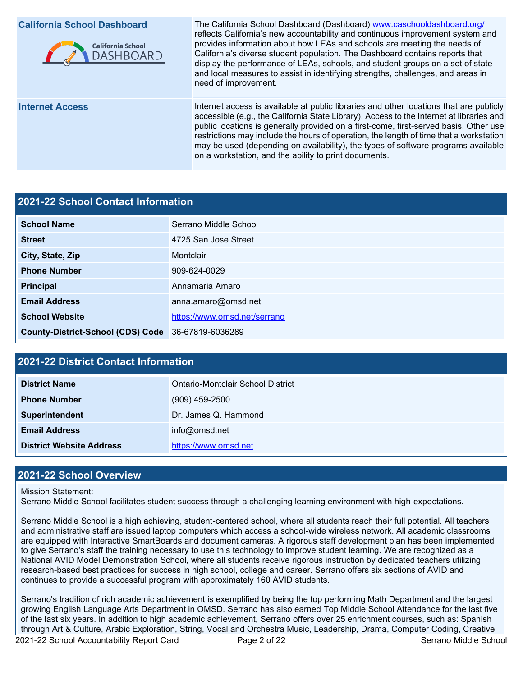

**California School Dashboard** The California School Dashboard (Dashboard) [www.caschooldashboard.org/](http://www.caschooldashboard.org/) reflects California's new accountability and continuous improvement system and provides information about how LEAs and schools are meeting the needs of California's diverse student population. The Dashboard contains reports that display the performance of LEAs, schools, and student groups on a set of state and local measures to assist in identifying strengths, challenges, and areas in need of improvement.

**Internet Access** Internet access is available at public libraries and other locations that are publicly accessible (e.g., the California State Library). Access to the Internet at libraries and public locations is generally provided on a first-come, first-served basis. Other use restrictions may include the hours of operation, the length of time that a workstation may be used (depending on availability), the types of software programs available on a workstation, and the ability to print documents.

#### **2021-22 School Contact Information**

| <b>School Name</b>                       | Serrano Middle School        |
|------------------------------------------|------------------------------|
| <b>Street</b>                            | 4725 San Jose Street         |
|                                          |                              |
| City, State, Zip                         | Montclair                    |
| <b>Phone Number</b>                      | 909-624-0029                 |
| <b>Principal</b>                         | Annamaria Amaro              |
| <b>Email Address</b>                     | anna.amaro@omsd.net          |
| <b>School Website</b>                    | https://www.omsd.net/serrano |
| <b>County-District-School (CDS) Code</b> | 36-67819-6036289             |

#### **2021-22 District Contact Information**

| <b>District Name</b>            | Ontario-Montclair School District |
|---------------------------------|-----------------------------------|
| <b>Phone Number</b>             | $(909)$ 459-2500                  |
| <b>Superintendent</b>           | Dr. James Q. Hammond              |
| <b>Email Address</b>            | info@omsd.net                     |
| <b>District Website Address</b> | https://www.omsd.net              |

#### **2021-22 School Overview**

#### Mission Statement:

Serrano Middle School facilitates student success through a challenging learning environment with high expectations.

Serrano Middle School is a high achieving, student-centered school, where all students reach their full potential. All teachers and administrative staff are issued laptop computers which access a school-wide wireless network. All academic classrooms are equipped with Interactive SmartBoards and document cameras. A rigorous staff development plan has been implemented to give Serrano's staff the training necessary to use this technology to improve student learning. We are recognized as a National AVID Model Demonstration School, where all students receive rigorous instruction by dedicated teachers utilizing research-based best practices for success in high school, college and career. Serrano offers six sections of AVID and continues to provide a successful program with approximately 160 AVID students.

Serrano's tradition of rich academic achievement is exemplified by being the top performing Math Department and the largest growing English Language Arts Department in OMSD. Serrano has also earned Top Middle School Attendance for the last five of the last six years. In addition to high academic achievement, Serrano offers over 25 enrichment courses, such as: Spanish through Art & Culture, Arabic Exploration, String, Vocal and Orchestra Music, Leadership, Drama, Computer Coding, Creative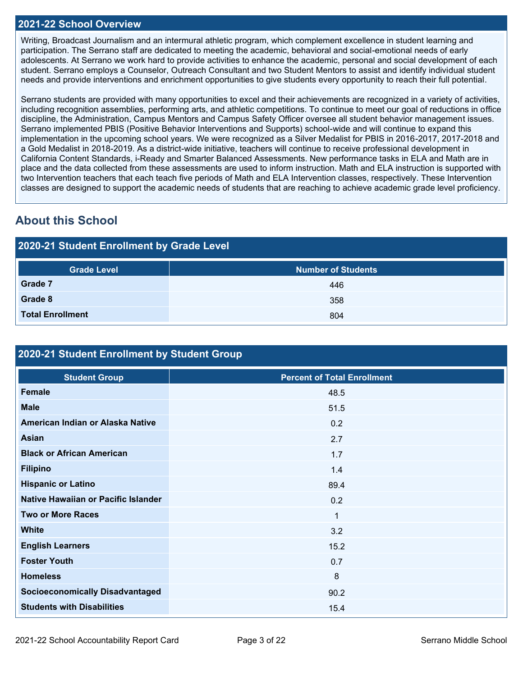#### **2021-22 School Overview**

Writing, Broadcast Journalism and an intermural athletic program, which complement excellence in student learning and participation. The Serrano staff are dedicated to meeting the academic, behavioral and social-emotional needs of early adolescents. At Serrano we work hard to provide activities to enhance the academic, personal and social development of each student. Serrano employs a Counselor, Outreach Consultant and two Student Mentors to assist and identify individual student needs and provide interventions and enrichment opportunities to give students every opportunity to reach their full potential.

Serrano students are provided with many opportunities to excel and their achievements are recognized in a variety of activities, including recognition assemblies, performing arts, and athletic competitions. To continue to meet our goal of reductions in office discipline, the Administration, Campus Mentors and Campus Safety Officer oversee all student behavior management issues. Serrano implemented PBIS (Positive Behavior Interventions and Supports) school-wide and will continue to expand this implementation in the upcoming school years. We were recognized as a Silver Medalist for PBIS in 2016-2017, 2017-2018 and a Gold Medalist in 2018-2019. As a district-wide initiative, teachers will continue to receive professional development in California Content Standards, i-Ready and Smarter Balanced Assessments. New performance tasks in ELA and Math are in place and the data collected from these assessments are used to inform instruction. Math and ELA instruction is supported with two Intervention teachers that each teach five periods of Math and ELA Intervention classes, respectively. These Intervention classes are designed to support the academic needs of students that are reaching to achieve academic grade level proficiency.

## **About this School**

## **2020-21 Student Enrollment by Grade Level**

| <b>Grade Level</b>      | <b>Number of Students</b> |  |  |  |  |  |
|-------------------------|---------------------------|--|--|--|--|--|
| <b>Grade 7</b>          | 446                       |  |  |  |  |  |
| Grade 8                 | 358                       |  |  |  |  |  |
| <b>Total Enrollment</b> | 804                       |  |  |  |  |  |

### **2020-21 Student Enrollment by Student Group**

| <b>Student Group</b>                   | <b>Percent of Total Enrollment</b> |
|----------------------------------------|------------------------------------|
| Female                                 | 48.5                               |
| <b>Male</b>                            | 51.5                               |
| American Indian or Alaska Native       | 0.2                                |
| Asian                                  | 2.7                                |
| <b>Black or African American</b>       | 1.7                                |
| <b>Filipino</b>                        | 1.4                                |
| <b>Hispanic or Latino</b>              | 89.4                               |
| Native Hawaiian or Pacific Islander    | 0.2                                |
| <b>Two or More Races</b>               | $\mathbf{1}$                       |
| <b>White</b>                           | 3.2                                |
| <b>English Learners</b>                | 15.2                               |
| <b>Foster Youth</b>                    | 0.7                                |
| <b>Homeless</b>                        | 8                                  |
| <b>Socioeconomically Disadvantaged</b> | 90.2                               |
| <b>Students with Disabilities</b>      | 15.4                               |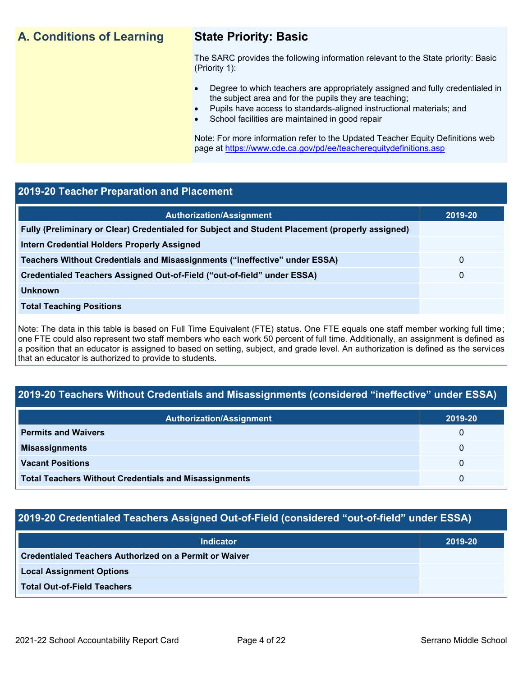## **A. Conditions of Learning State Priority: Basic**

The SARC provides the following information relevant to the State priority: Basic (Priority 1):

- Degree to which teachers are appropriately assigned and fully credentialed in the subject area and for the pupils they are teaching;
	- Pupils have access to standards-aligned instructional materials; and
- School facilities are maintained in good repair

Note: For more information refer to the Updated Teacher Equity Definitions web page at<https://www.cde.ca.gov/pd/ee/teacherequitydefinitions.asp>

#### **2019-20 Teacher Preparation and Placement**

| 0 |
|---|
| 0 |
|   |
|   |
|   |

Note: The data in this table is based on Full Time Equivalent (FTE) status. One FTE equals one staff member working full time; one FTE could also represent two staff members who each work 50 percent of full time. Additionally, an assignment is defined as a position that an educator is assigned to based on setting, subject, and grade level. An authorization is defined as the services that an educator is authorized to provide to students.

#### **2019-20 Teachers Without Credentials and Misassignments (considered "ineffective" under ESSA)**

| <b>Authorization/Assignment</b>                              | 2019-20      |
|--------------------------------------------------------------|--------------|
| <b>Permits and Waivers</b>                                   | $\Omega$     |
| <b>Misassignments</b>                                        | $\Omega$     |
| <b>Vacant Positions</b>                                      | $\mathbf{U}$ |
| <b>Total Teachers Without Credentials and Misassignments</b> | 0            |

#### **2019-20 Credentialed Teachers Assigned Out-of-Field (considered "out-of-field" under ESSA)**

| <b>Indicator</b>                                       | 2019-20 |
|--------------------------------------------------------|---------|
| Credentialed Teachers Authorized on a Permit or Waiver |         |
| <b>Local Assignment Options</b>                        |         |
| <b>Total Out-of-Field Teachers</b>                     |         |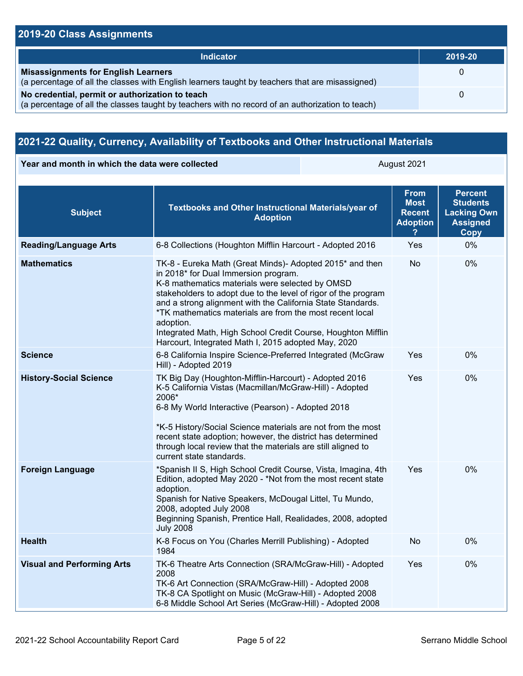### **2019-20 Class Assignments**

| <b>Indicator</b>                                                                                                                                    | 2019-20  |
|-----------------------------------------------------------------------------------------------------------------------------------------------------|----------|
| <b>Misassignments for English Learners</b><br>(a percentage of all the classes with English learners taught by teachers that are misassigned)       |          |
| No credential, permit or authorization to teach<br>(a percentage of all the classes taught by teachers with no record of an authorization to teach) | $\Omega$ |

## **2021-22 Quality, Currency, Availability of Textbooks and Other Instructional Materials**

**Year and month in which the data were collected August 2021** August 2021

| <b>Subject</b>                    | Textbooks and Other Instructional Materials/year of<br><b>Adoption</b>                                                                                                                                                                                                                                                                                                                                                                                                               | <b>From</b><br><b>Most</b><br><b>Recent</b><br><b>Adoption</b> | <b>Percent</b><br><b>Students</b><br><b>Lacking Own</b><br><b>Assigned</b><br>Copy |
|-----------------------------------|--------------------------------------------------------------------------------------------------------------------------------------------------------------------------------------------------------------------------------------------------------------------------------------------------------------------------------------------------------------------------------------------------------------------------------------------------------------------------------------|----------------------------------------------------------------|------------------------------------------------------------------------------------|
| <b>Reading/Language Arts</b>      | 6-8 Collections (Houghton Mifflin Harcourt - Adopted 2016                                                                                                                                                                                                                                                                                                                                                                                                                            | Yes                                                            | 0%                                                                                 |
| <b>Mathematics</b>                | TK-8 - Eureka Math (Great Minds)- Adopted 2015* and then<br>in 2018* for Dual Immersion program.<br>K-8 mathematics materials were selected by OMSD<br>stakeholders to adopt due to the level of rigor of the program<br>and a strong alignment with the California State Standards.<br>*TK mathematics materials are from the most recent local<br>adoption.<br>Integrated Math, High School Credit Course, Houghton Mifflin<br>Harcourt, Integrated Math I, 2015 adopted May, 2020 | <b>No</b>                                                      | 0%                                                                                 |
| <b>Science</b>                    | 6-8 California Inspire Science-Preferred Integrated (McGraw<br>Hill) - Adopted 2019                                                                                                                                                                                                                                                                                                                                                                                                  | Yes                                                            | 0%                                                                                 |
| <b>History-Social Science</b>     | TK Big Day (Houghton-Mifflin-Harcourt) - Adopted 2016<br>K-5 California Vistas (Macmillan/McGraw-Hill) - Adopted<br>2006*<br>6-8 My World Interactive (Pearson) - Adopted 2018<br>*K-5 History/Social Science materials are not from the most<br>recent state adoption; however, the district has determined<br>through local review that the materials are still aligned to<br>current state standards.                                                                             | Yes                                                            | 0%                                                                                 |
| <b>Foreign Language</b>           | *Spanish II S, High School Credit Course, Vista, Imagina, 4th<br>Edition, adopted May 2020 - *Not from the most recent state<br>adoption.<br>Spanish for Native Speakers, McDougal Littel, Tu Mundo,<br>2008, adopted July 2008<br>Beginning Spanish, Prentice Hall, Realidades, 2008, adopted<br><b>July 2008</b>                                                                                                                                                                   | Yes                                                            | 0%                                                                                 |
| <b>Health</b>                     | K-8 Focus on You (Charles Merrill Publishing) - Adopted<br>1984                                                                                                                                                                                                                                                                                                                                                                                                                      | No                                                             | 0%                                                                                 |
| <b>Visual and Performing Arts</b> | TK-6 Theatre Arts Connection (SRA/McGraw-Hill) - Adopted<br>2008<br>TK-6 Art Connection (SRA/McGraw-Hill) - Adopted 2008<br>TK-8 CA Spotlight on Music (McGraw-Hill) - Adopted 2008<br>6-8 Middle School Art Series (McGraw-Hill) - Adopted 2008                                                                                                                                                                                                                                     | Yes                                                            | 0%                                                                                 |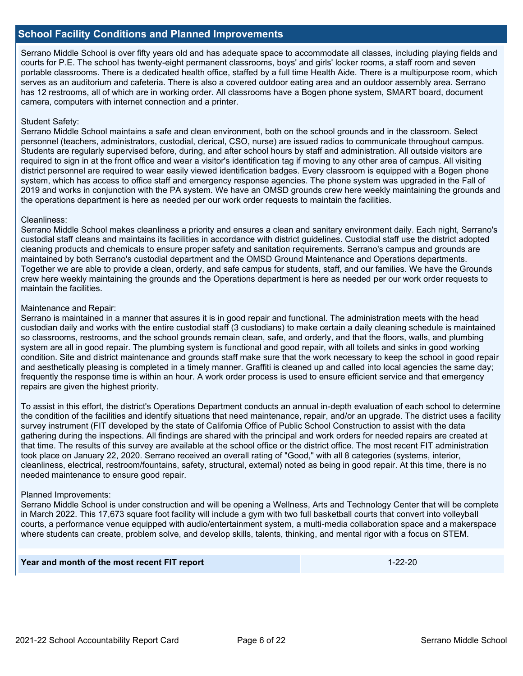#### **School Facility Conditions and Planned Improvements**

Serrano Middle School is over fifty years old and has adequate space to accommodate all classes, including playing fields and courts for P.E. The school has twenty-eight permanent classrooms, boys' and girls' locker rooms, a staff room and seven portable classrooms. There is a dedicated health office, staffed by a full time Health Aide. There is a multipurpose room, which serves as an auditorium and cafeteria. There is also a covered outdoor eating area and an outdoor assembly area. Serrano has 12 restrooms, all of which are in working order. All classrooms have a Bogen phone system, SMART board, document camera, computers with internet connection and a printer.

#### Student Safety:

Serrano Middle School maintains a safe and clean environment, both on the school grounds and in the classroom. Select personnel (teachers, administrators, custodial, clerical, CSO, nurse) are issued radios to communicate throughout campus. Students are regularly supervised before, during, and after school hours by staff and administration. All outside visitors are required to sign in at the front office and wear a visitor's identification tag if moving to any other area of campus. All visiting district personnel are required to wear easily viewed identification badges. Every classroom is equipped with a Bogen phone system, which has access to office staff and emergency response agencies. The phone system was upgraded in the Fall of 2019 and works in conjunction with the PA system. We have an OMSD grounds crew here weekly maintaining the grounds and the operations department is here as needed per our work order requests to maintain the facilities.

#### Cleanliness:

Serrano Middle School makes cleanliness a priority and ensures a clean and sanitary environment daily. Each night, Serrano's custodial staff cleans and maintains its facilities in accordance with district guidelines. Custodial staff use the district adopted cleaning products and chemicals to ensure proper safety and sanitation requirements. Serrano's campus and grounds are maintained by both Serrano's custodial department and the OMSD Ground Maintenance and Operations departments. Together we are able to provide a clean, orderly, and safe campus for students, staff, and our families. We have the Grounds crew here weekly maintaining the grounds and the Operations department is here as needed per our work order requests to maintain the facilities.

#### Maintenance and Repair:

Serrano is maintained in a manner that assures it is in good repair and functional. The administration meets with the head custodian daily and works with the entire custodial staff (3 custodians) to make certain a daily cleaning schedule is maintained so classrooms, restrooms, and the school grounds remain clean, safe, and orderly, and that the floors, walls, and plumbing system are all in good repair. The plumbing system is functional and good repair, with all toilets and sinks in good working condition. Site and district maintenance and grounds staff make sure that the work necessary to keep the school in good repair and aesthetically pleasing is completed in a timely manner. Graffiti is cleaned up and called into local agencies the same day; frequently the response time is within an hour. A work order process is used to ensure efficient service and that emergency repairs are given the highest priority.

To assist in this effort, the district's Operations Department conducts an annual in-depth evaluation of each school to determine the condition of the facilities and identify situations that need maintenance, repair, and/or an upgrade. The district uses a facility survey instrument (FIT developed by the state of California Office of Public School Construction to assist with the data gathering during the inspections. All findings are shared with the principal and work orders for needed repairs are created at that time. The results of this survey are available at the school office or the district office. The most recent FIT administration took place on January 22, 2020. Serrano received an overall rating of "Good," with all 8 categories (systems, interior, cleanliness, electrical, restroom/fountains, safety, structural, external) noted as being in good repair. At this time, there is no needed maintenance to ensure good repair.

#### Planned Improvements:

Serrano Middle School is under construction and will be opening a Wellness, Arts and Technology Center that will be complete in March 2022. This 17,673 square foot facility will include a gym with two full basketball courts that convert into volleyball courts, a performance venue equipped with audio/entertainment system, a multi-media collaboration space and a makerspace where students can create, problem solve, and develop skills, talents, thinking, and mental rigor with a focus on STEM.

#### **Year and month of the most recent FIT report** 1-22-20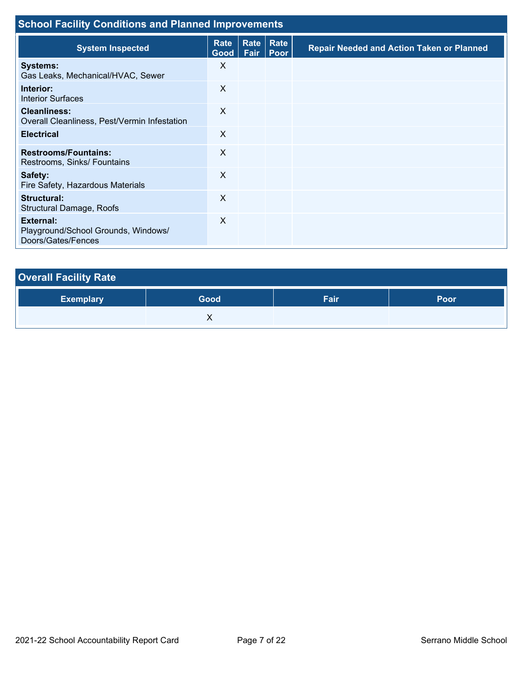| <b>School Facility Conditions and Planned Improvements</b>                    |                           |              |                     |                                                  |  |  |
|-------------------------------------------------------------------------------|---------------------------|--------------|---------------------|--------------------------------------------------|--|--|
| <b>System Inspected</b>                                                       | Rate<br>Good <sub>1</sub> | Rate<br>Fair | Rate<br><b>Poor</b> | <b>Repair Needed and Action Taken or Planned</b> |  |  |
| <b>Systems:</b><br>Gas Leaks, Mechanical/HVAC, Sewer                          | X                         |              |                     |                                                  |  |  |
| Interior:<br><b>Interior Surfaces</b>                                         | X                         |              |                     |                                                  |  |  |
| <b>Cleanliness:</b><br>Overall Cleanliness, Pest/Vermin Infestation           | X                         |              |                     |                                                  |  |  |
| <b>Electrical</b>                                                             | X                         |              |                     |                                                  |  |  |
| <b>Restrooms/Fountains:</b><br>Restrooms, Sinks/ Fountains                    | X                         |              |                     |                                                  |  |  |
| Safety:<br>Fire Safety, Hazardous Materials                                   | X                         |              |                     |                                                  |  |  |
| Structural:<br>Structural Damage, Roofs                                       | X                         |              |                     |                                                  |  |  |
| <b>External:</b><br>Playground/School Grounds, Windows/<br>Doors/Gates/Fences | X                         |              |                     |                                                  |  |  |

| <b>Overall Facility Rate</b> |      |      |      |
|------------------------------|------|------|------|
| <b>Exemplary</b>             | Good | Fair | Poor |
|                              |      |      |      |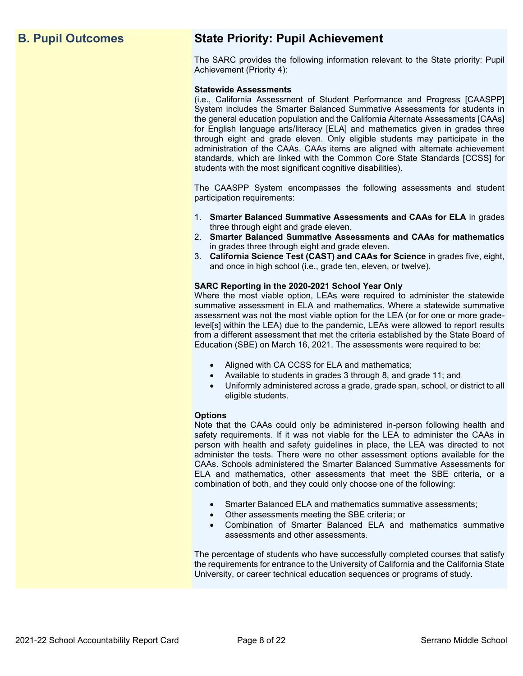## **B. Pupil Outcomes State Priority: Pupil Achievement**

The SARC provides the following information relevant to the State priority: Pupil Achievement (Priority 4):

#### **Statewide Assessments**

(i.e., California Assessment of Student Performance and Progress [CAASPP] System includes the Smarter Balanced Summative Assessments for students in the general education population and the California Alternate Assessments [CAAs] for English language arts/literacy [ELA] and mathematics given in grades three through eight and grade eleven. Only eligible students may participate in the administration of the CAAs. CAAs items are aligned with alternate achievement standards, which are linked with the Common Core State Standards [CCSS] for students with the most significant cognitive disabilities).

The CAASPP System encompasses the following assessments and student participation requirements:

- 1. **Smarter Balanced Summative Assessments and CAAs for ELA** in grades three through eight and grade eleven.
- 2. **Smarter Balanced Summative Assessments and CAAs for mathematics** in grades three through eight and grade eleven.
- 3. **California Science Test (CAST) and CAAs for Science** in grades five, eight, and once in high school (i.e., grade ten, eleven, or twelve).

#### **SARC Reporting in the 2020-2021 School Year Only**

Where the most viable option, LEAs were required to administer the statewide summative assessment in ELA and mathematics. Where a statewide summative assessment was not the most viable option for the LEA (or for one or more gradelevel[s] within the LEA) due to the pandemic, LEAs were allowed to report results from a different assessment that met the criteria established by the State Board of Education (SBE) on March 16, 2021. The assessments were required to be:

- Aligned with CA CCSS for ELA and mathematics;
- Available to students in grades 3 through 8, and grade 11; and
- Uniformly administered across a grade, grade span, school, or district to all eligible students.

#### **Options**

Note that the CAAs could only be administered in-person following health and safety requirements. If it was not viable for the LEA to administer the CAAs in person with health and safety guidelines in place, the LEA was directed to not administer the tests. There were no other assessment options available for the CAAs. Schools administered the Smarter Balanced Summative Assessments for ELA and mathematics, other assessments that meet the SBE criteria, or a combination of both, and they could only choose one of the following:

- Smarter Balanced ELA and mathematics summative assessments;
- Other assessments meeting the SBE criteria; or
- Combination of Smarter Balanced ELA and mathematics summative assessments and other assessments.

The percentage of students who have successfully completed courses that satisfy the requirements for entrance to the University of California and the California State University, or career technical education sequences or programs of study.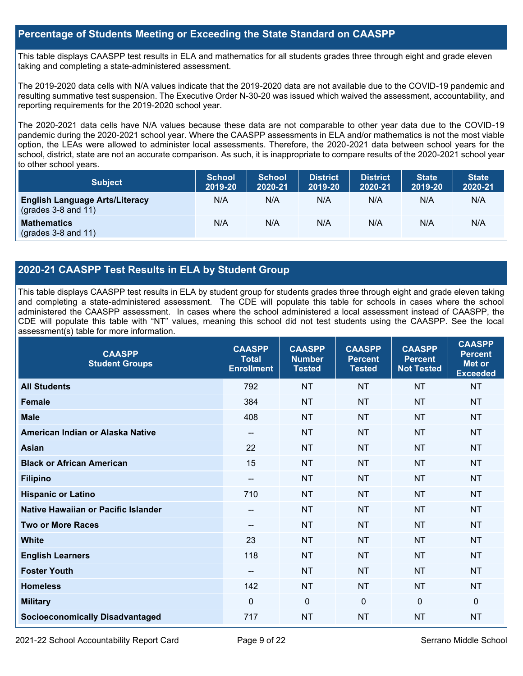#### **Percentage of Students Meeting or Exceeding the State Standard on CAASPP**

This table displays CAASPP test results in ELA and mathematics for all students grades three through eight and grade eleven taking and completing a state-administered assessment.

The 2019-2020 data cells with N/A values indicate that the 2019-2020 data are not available due to the COVID-19 pandemic and resulting summative test suspension. The Executive Order N-30-20 was issued which waived the assessment, accountability, and reporting requirements for the 2019-2020 school year.

The 2020-2021 data cells have N/A values because these data are not comparable to other year data due to the COVID-19 pandemic during the 2020-2021 school year. Where the CAASPP assessments in ELA and/or mathematics is not the most viable option, the LEAs were allowed to administer local assessments. Therefore, the 2020-2021 data between school years for the school, district, state are not an accurate comparison. As such, it is inappropriate to compare results of the 2020-2021 school year to other school years.

| <b>Subject</b>                                                       | <b>School</b><br>2019-20 | <b>School</b><br>2020-21 | <b>District</b><br>2019-20 | <b>District</b><br>2020-21 | <b>State</b><br>2019-20 | <b>State</b><br>2020-21 |
|----------------------------------------------------------------------|--------------------------|--------------------------|----------------------------|----------------------------|-------------------------|-------------------------|
| <b>English Language Arts/Literacy</b><br>$\left($ grades 3-8 and 11) | N/A                      | N/A                      | N/A                        | N/A                        | N/A                     | N/A                     |
| <b>Mathematics</b><br>$(grades 3-8 and 11)$                          | N/A                      | N/A                      | N/A                        | N/A                        | N/A                     | N/A                     |

#### **2020-21 CAASPP Test Results in ELA by Student Group**

This table displays CAASPP test results in ELA by student group for students grades three through eight and grade eleven taking and completing a state-administered assessment. The CDE will populate this table for schools in cases where the school administered the CAASPP assessment. In cases where the school administered a local assessment instead of CAASPP, the CDE will populate this table with "NT" values, meaning this school did not test students using the CAASPP. See the local assessment(s) table for more information.

| <b>CAASPP</b><br><b>Student Groups</b> | <b>CAASPP</b><br><b>Total</b><br><b>Enrollment</b> | <b>CAASPP</b><br><b>Number</b><br><b>Tested</b> | <b>CAASPP</b><br><b>Percent</b><br><b>Tested</b> | <b>CAASPP</b><br><b>Percent</b><br><b>Not Tested</b> | <b>CAASPP</b><br><b>Percent</b><br>Met or<br><b>Exceeded</b> |
|----------------------------------------|----------------------------------------------------|-------------------------------------------------|--------------------------------------------------|------------------------------------------------------|--------------------------------------------------------------|
| <b>All Students</b>                    | 792                                                | <b>NT</b>                                       | <b>NT</b>                                        | <b>NT</b>                                            | <b>NT</b>                                                    |
| <b>Female</b>                          | 384                                                | <b>NT</b>                                       | <b>NT</b>                                        | <b>NT</b>                                            | <b>NT</b>                                                    |
| <b>Male</b>                            | 408                                                | <b>NT</b>                                       | <b>NT</b>                                        | <b>NT</b>                                            | <b>NT</b>                                                    |
| American Indian or Alaska Native       | --                                                 | <b>NT</b>                                       | <b>NT</b>                                        | <b>NT</b>                                            | <b>NT</b>                                                    |
| <b>Asian</b>                           | 22                                                 | <b>NT</b>                                       | <b>NT</b>                                        | <b>NT</b>                                            | <b>NT</b>                                                    |
| <b>Black or African American</b>       | 15                                                 | <b>NT</b>                                       | <b>NT</b>                                        | <b>NT</b>                                            | <b>NT</b>                                                    |
| <b>Filipino</b>                        | --                                                 | <b>NT</b>                                       | <b>NT</b>                                        | <b>NT</b>                                            | <b>NT</b>                                                    |
| <b>Hispanic or Latino</b>              | 710                                                | <b>NT</b>                                       | <b>NT</b>                                        | <b>NT</b>                                            | <b>NT</b>                                                    |
| Native Hawaiian or Pacific Islander    | --                                                 | <b>NT</b>                                       | <b>NT</b>                                        | <b>NT</b>                                            | <b>NT</b>                                                    |
| <b>Two or More Races</b>               | --                                                 | <b>NT</b>                                       | <b>NT</b>                                        | <b>NT</b>                                            | <b>NT</b>                                                    |
| <b>White</b>                           | 23                                                 | <b>NT</b>                                       | <b>NT</b>                                        | <b>NT</b>                                            | <b>NT</b>                                                    |
| <b>English Learners</b>                | 118                                                | <b>NT</b>                                       | <b>NT</b>                                        | <b>NT</b>                                            | <b>NT</b>                                                    |
| <b>Foster Youth</b>                    | --                                                 | <b>NT</b>                                       | <b>NT</b>                                        | <b>NT</b>                                            | <b>NT</b>                                                    |
| <b>Homeless</b>                        | 142                                                | <b>NT</b>                                       | <b>NT</b>                                        | <b>NT</b>                                            | <b>NT</b>                                                    |
| <b>Military</b>                        | $\mathbf 0$                                        | $\mathbf 0$                                     | $\Omega$                                         | $\Omega$                                             | $\Omega$                                                     |
| <b>Socioeconomically Disadvantaged</b> | 717                                                | <b>NT</b>                                       | <b>NT</b>                                        | <b>NT</b>                                            | <b>NT</b>                                                    |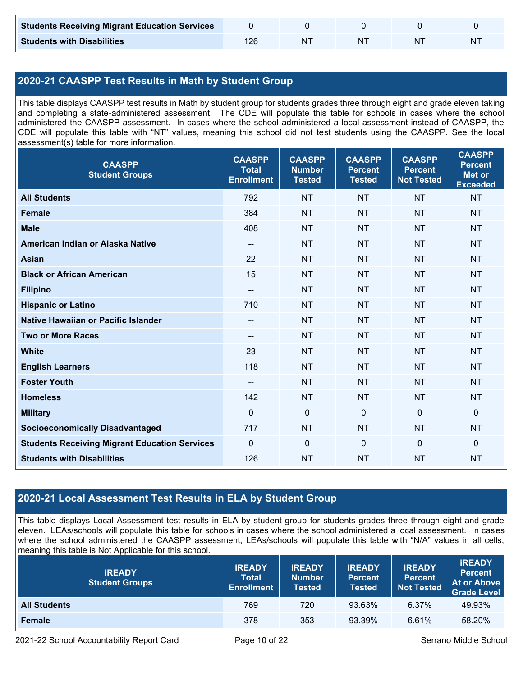| <b>Students Receiving Migrant Education Services</b> |    |    |   |
|------------------------------------------------------|----|----|---|
| <b>Students with Disabilities</b>                    | NΊ | N. | N |

### **2020-21 CAASPP Test Results in Math by Student Group**

This table displays CAASPP test results in Math by student group for students grades three through eight and grade eleven taking and completing a state-administered assessment. The CDE will populate this table for schools in cases where the school administered the CAASPP assessment. In cases where the school administered a local assessment instead of CAASPP, the CDE will populate this table with "NT" values, meaning this school did not test students using the CAASPP. See the local assessment(s) table for more information.

| <b>CAASPP</b><br><b>Student Groups</b>               | <b>CAASPP</b><br><b>Total</b><br><b>Enrollment</b> | <b>CAASPP</b><br><b>Number</b><br><b>Tested</b> | <b>CAASPP</b><br><b>Percent</b><br><b>Tested</b> | <b>CAASPP</b><br><b>Percent</b><br><b>Not Tested</b> | <b>CAASPP</b><br><b>Percent</b><br><b>Met or</b><br><b>Exceeded</b> |
|------------------------------------------------------|----------------------------------------------------|-------------------------------------------------|--------------------------------------------------|------------------------------------------------------|---------------------------------------------------------------------|
| <b>All Students</b>                                  | 792                                                | <b>NT</b>                                       | <b>NT</b>                                        | <b>NT</b>                                            | <b>NT</b>                                                           |
| <b>Female</b>                                        | 384                                                | <b>NT</b>                                       | <b>NT</b>                                        | <b>NT</b>                                            | <b>NT</b>                                                           |
| <b>Male</b>                                          | 408                                                | <b>NT</b>                                       | <b>NT</b>                                        | <b>NT</b>                                            | <b>NT</b>                                                           |
| American Indian or Alaska Native                     | $\overline{\phantom{a}}$                           | <b>NT</b>                                       | <b>NT</b>                                        | <b>NT</b>                                            | <b>NT</b>                                                           |
| <b>Asian</b>                                         | 22                                                 | <b>NT</b>                                       | <b>NT</b>                                        | <b>NT</b>                                            | <b>NT</b>                                                           |
| <b>Black or African American</b>                     | 15                                                 | NT                                              | <b>NT</b>                                        | <b>NT</b>                                            | NT                                                                  |
| <b>Filipino</b>                                      |                                                    | <b>NT</b>                                       | <b>NT</b>                                        | <b>NT</b>                                            | <b>NT</b>                                                           |
| <b>Hispanic or Latino</b>                            | 710                                                | <b>NT</b>                                       | <b>NT</b>                                        | <b>NT</b>                                            | <b>NT</b>                                                           |
| Native Hawaiian or Pacific Islander                  | $\qquad \qquad -$                                  | <b>NT</b>                                       | <b>NT</b>                                        | <b>NT</b>                                            | <b>NT</b>                                                           |
| <b>Two or More Races</b>                             | $\qquad \qquad -$                                  | <b>NT</b>                                       | <b>NT</b>                                        | <b>NT</b>                                            | <b>NT</b>                                                           |
| <b>White</b>                                         | 23                                                 | NT                                              | <b>NT</b>                                        | <b>NT</b>                                            | NT                                                                  |
| <b>English Learners</b>                              | 118                                                | <b>NT</b>                                       | <b>NT</b>                                        | <b>NT</b>                                            | <b>NT</b>                                                           |
| <b>Foster Youth</b>                                  | $- -$                                              | <b>NT</b>                                       | <b>NT</b>                                        | <b>NT</b>                                            | NT                                                                  |
| <b>Homeless</b>                                      | 142                                                | <b>NT</b>                                       | <b>NT</b>                                        | <b>NT</b>                                            | <b>NT</b>                                                           |
| <b>Military</b>                                      | $\mathbf 0$                                        | $\mathbf 0$                                     | $\mathbf 0$                                      | $\mathbf 0$                                          | 0                                                                   |
| <b>Socioeconomically Disadvantaged</b>               | 717                                                | <b>NT</b>                                       | <b>NT</b>                                        | <b>NT</b>                                            | <b>NT</b>                                                           |
| <b>Students Receiving Migrant Education Services</b> | $\mathbf 0$                                        | 0                                               | $\mathbf 0$                                      | $\mathbf 0$                                          | 0                                                                   |
| <b>Students with Disabilities</b>                    | 126                                                | <b>NT</b>                                       | <b>NT</b>                                        | <b>NT</b>                                            | <b>NT</b>                                                           |

### **2020-21 Local Assessment Test Results in ELA by Student Group**

This table displays Local Assessment test results in ELA by student group for students grades three through eight and grade eleven. LEAs/schools will populate this table for schools in cases where the school administered a local assessment. In cases where the school administered the CAASPP assessment, LEAs/schools will populate this table with "N/A" values in all cells, meaning this table is Not Applicable for this school.

| <b>IREADY</b><br><b>Student Groups</b> | <b>IREADY</b><br><b>Total</b><br><b>Enrollment</b> | <b>IREADY</b><br><b>Number</b><br>Tested | <b><i>IREADY</i></b><br><b>Percent</b><br><b>Tested</b> | <b>IREADY</b><br><b>Percent</b><br><b>Not Tested</b> | <b>IREADY</b><br><b>Percent</b><br>At or Above<br><b>Grade Level</b> |
|----------------------------------------|----------------------------------------------------|------------------------------------------|---------------------------------------------------------|------------------------------------------------------|----------------------------------------------------------------------|
| <b>All Students</b>                    | 769                                                | 720                                      | 93.63%                                                  | 6.37%                                                | 49.93%                                                               |
| <b>Female</b>                          | 378                                                | 353                                      | 93.39%                                                  | 6.61%                                                | 58.20%                                                               |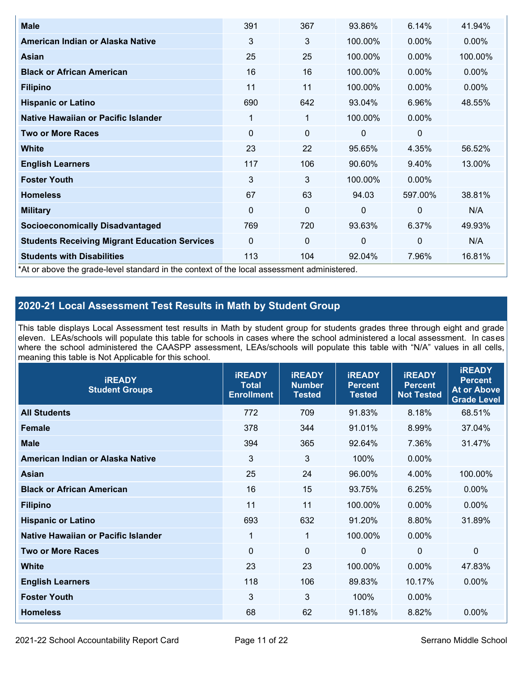| <b>Male</b>                                                                                | 391      | 367 | 93.86%       | 6.14%        | 41.94%  |
|--------------------------------------------------------------------------------------------|----------|-----|--------------|--------------|---------|
| American Indian or Alaska Native                                                           | 3        | 3   | 100.00%      | $0.00\%$     | 0.00%   |
| Asian                                                                                      | 25       | 25  | 100.00%      | $0.00\%$     | 100.00% |
| <b>Black or African American</b>                                                           | 16       | 16  | 100.00%      | 0.00%        | 0.00%   |
| <b>Filipino</b>                                                                            | 11       | 11  | 100.00%      | 0.00%        | 0.00%   |
| <b>Hispanic or Latino</b>                                                                  | 690      | 642 | 93.04%       | 6.96%        | 48.55%  |
| Native Hawaiian or Pacific Islander                                                        | 1        | 1   | 100.00%      | $0.00\%$     |         |
| <b>Two or More Races</b>                                                                   | 0        | 0   | 0            | 0            |         |
| <b>White</b>                                                                               | 23       | 22  | 95.65%       | 4.35%        | 56.52%  |
| <b>English Learners</b>                                                                    | 117      | 106 | 90.60%       | 9.40%        | 13.00%  |
| <b>Foster Youth</b>                                                                        | 3        | 3   | 100.00%      | $0.00\%$     |         |
| <b>Homeless</b>                                                                            | 67       | 63  | 94.03        | 597.00%      | 38.81%  |
| <b>Military</b>                                                                            | $\Omega$ | 0   | $\mathbf{0}$ | $\mathbf{0}$ | N/A     |
| <b>Socioeconomically Disadvantaged</b>                                                     | 769      | 720 | 93.63%       | 6.37%        | 49.93%  |
| <b>Students Receiving Migrant Education Services</b>                                       | 0        | 0   | $\mathbf 0$  | $\mathbf 0$  | N/A     |
| <b>Students with Disabilities</b>                                                          | 113      | 104 | 92.04%       | 7.96%        | 16.81%  |
| *At or above the grade-level standard in the context of the local assessment administered. |          |     |              |              |         |

### **2020-21 Local Assessment Test Results in Math by Student Group**

This table displays Local Assessment test results in Math by student group for students grades three through eight and grade eleven. LEAs/schools will populate this table for schools in cases where the school administered a local assessment. In cases where the school administered the CAASPP assessment, LEAs/schools will populate this table with "N/A" values in all cells, meaning this table is Not Applicable for this school.

| <b>IREADY</b><br><b>Student Groups</b> | <b>IREADY</b><br><b>Total</b><br><b>Enrollment</b> | <b>iREADY</b><br><b>Number</b><br><b>Tested</b> | <b>iREADY</b><br><b>Percent</b><br><b>Tested</b> | <b>IREADY</b><br><b>Percent</b><br><b>Not Tested</b> | <b>IREADY</b><br><b>Percent</b><br><b>At or Above</b><br><b>Grade Level</b> |
|----------------------------------------|----------------------------------------------------|-------------------------------------------------|--------------------------------------------------|------------------------------------------------------|-----------------------------------------------------------------------------|
| <b>All Students</b>                    | 772                                                | 709                                             | 91.83%                                           | 8.18%                                                | 68.51%                                                                      |
| <b>Female</b>                          | 378                                                | 344                                             | 91.01%                                           | 8.99%                                                | 37.04%                                                                      |
| <b>Male</b>                            | 394                                                | 365                                             | 92.64%                                           | 7.36%                                                | 31.47%                                                                      |
| American Indian or Alaska Native       | $\mathbf{3}$                                       | $\mathbf{3}$                                    | 100%                                             | 0.00%                                                |                                                                             |
| <b>Asian</b>                           | 25                                                 | 24                                              | 96.00%                                           | 4.00%                                                | 100.00%                                                                     |
| <b>Black or African American</b>       | 16                                                 | 15                                              | 93.75%                                           | 6.25%                                                | 0.00%                                                                       |
| <b>Filipino</b>                        | 11                                                 | 11                                              | 100.00%                                          | 0.00%                                                | $0.00\%$                                                                    |
| <b>Hispanic or Latino</b>              | 693                                                | 632                                             | 91.20%                                           | 8.80%                                                | 31.89%                                                                      |
| Native Hawaiian or Pacific Islander    | $\mathbf 1$                                        | $\mathbf{1}$                                    | 100.00%                                          | 0.00%                                                |                                                                             |
| <b>Two or More Races</b>               | $\Omega$                                           | $\theta$                                        | $\Omega$                                         | $\mathbf 0$                                          | 0                                                                           |
| <b>White</b>                           | 23                                                 | 23                                              | 100.00%                                          | 0.00%                                                | 47.83%                                                                      |
| <b>English Learners</b>                | 118                                                | 106                                             | 89.83%                                           | 10.17%                                               | 0.00%                                                                       |
| <b>Foster Youth</b>                    | 3                                                  | 3                                               | 100%                                             | 0.00%                                                |                                                                             |
| <b>Homeless</b>                        | 68                                                 | 62                                              | 91.18%                                           | 8.82%                                                | 0.00%                                                                       |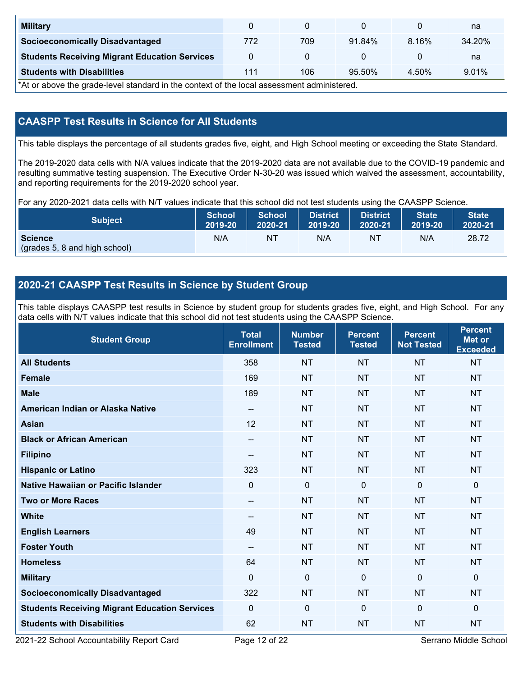| <b>Military</b>                                      |     |     |        |          | na     |
|------------------------------------------------------|-----|-----|--------|----------|--------|
| <b>Socioeconomically Disadvantaged</b>               | 772 | 709 | 91.84% | $8.16\%$ | 34.20% |
| <b>Students Receiving Migrant Education Services</b> |     |     |        |          | na     |
| <b>Students with Disabilities</b>                    | 111 | 106 | 95.50% | 4.50%    | 9.01%  |

\*At or above the grade-level standard in the context of the local assessment administered.

### **CAASPP Test Results in Science for All Students**

This table displays the percentage of all students grades five, eight, and High School meeting or exceeding the State Standard.

The 2019-2020 data cells with N/A values indicate that the 2019-2020 data are not available due to the COVID-19 pandemic and resulting summative testing suspension. The Executive Order N-30-20 was issued which waived the assessment, accountability, and reporting requirements for the 2019-2020 school year.

For any 2020-2021 data cells with N/T values indicate that this school did not test students using the CAASPP Science.

| <b>Subject</b>                                  | <b>School</b> | <b>School</b> | <b>District</b> | <b>District</b> | <b>State</b> | <b>State</b> |
|-------------------------------------------------|---------------|---------------|-----------------|-----------------|--------------|--------------|
|                                                 | 2019-20       | 2020-21       | 2019-20         | 2020-21         | 2019-20      | 2020-21      |
| <b>Science</b><br>(grades 5, 8 and high school) | N/A           | ΝT            | N/A             | N1              | N/A          | 28.72        |

### **2020-21 CAASPP Test Results in Science by Student Group**

This table displays CAASPP test results in Science by student group for students grades five, eight, and High School. For any data cells with N/T values indicate that this school did not test students using the CAASPP Science.

| <b>Student Group</b>                                 | <b>Total</b><br><b>Enrollment</b> | <b>Number</b><br><b>Tested</b> | <b>Percent</b><br><b>Tested</b> | <b>Percent</b><br><b>Not Tested</b> | <b>Percent</b><br><b>Met or</b><br><b>Exceeded</b> |
|------------------------------------------------------|-----------------------------------|--------------------------------|---------------------------------|-------------------------------------|----------------------------------------------------|
| <b>All Students</b>                                  | 358                               | <b>NT</b>                      | <b>NT</b>                       | <b>NT</b>                           | <b>NT</b>                                          |
| <b>Female</b>                                        | 169                               | <b>NT</b>                      | <b>NT</b>                       | <b>NT</b>                           | <b>NT</b>                                          |
| <b>Male</b>                                          | 189                               | <b>NT</b>                      | <b>NT</b>                       | <b>NT</b>                           | <b>NT</b>                                          |
| American Indian or Alaska Native                     | $\qquad \qquad -$                 | <b>NT</b>                      | <b>NT</b>                       | <b>NT</b>                           | <b>NT</b>                                          |
| <b>Asian</b>                                         | 12                                | <b>NT</b>                      | <b>NT</b>                       | <b>NT</b>                           | <b>NT</b>                                          |
| <b>Black or African American</b>                     | --                                | <b>NT</b>                      | <b>NT</b>                       | <b>NT</b>                           | <b>NT</b>                                          |
| <b>Filipino</b>                                      | --                                | <b>NT</b>                      | <b>NT</b>                       | <b>NT</b>                           | <b>NT</b>                                          |
| <b>Hispanic or Latino</b>                            | 323                               | <b>NT</b>                      | <b>NT</b>                       | <b>NT</b>                           | <b>NT</b>                                          |
| <b>Native Hawaiian or Pacific Islander</b>           | $\Omega$                          | $\mathbf 0$                    | $\mathbf 0$                     | $\mathbf{0}$                        | $\mathbf 0$                                        |
| <b>Two or More Races</b>                             | $\qquad \qquad \cdots$            | <b>NT</b>                      | <b>NT</b>                       | <b>NT</b>                           | <b>NT</b>                                          |
| <b>White</b>                                         | --                                | <b>NT</b>                      | <b>NT</b>                       | <b>NT</b>                           | <b>NT</b>                                          |
| <b>English Learners</b>                              | 49                                | <b>NT</b>                      | <b>NT</b>                       | <b>NT</b>                           | <b>NT</b>                                          |
| <b>Foster Youth</b>                                  | $\overline{\phantom{a}}$          | <b>NT</b>                      | <b>NT</b>                       | <b>NT</b>                           | <b>NT</b>                                          |
| <b>Homeless</b>                                      | 64                                | <b>NT</b>                      | <b>NT</b>                       | <b>NT</b>                           | <b>NT</b>                                          |
| <b>Military</b>                                      | $\mathbf 0$                       | $\mathbf 0$                    | $\mathbf{0}$                    | $\overline{0}$                      | 0                                                  |
| <b>Socioeconomically Disadvantaged</b>               | 322                               | <b>NT</b>                      | <b>NT</b>                       | <b>NT</b>                           | <b>NT</b>                                          |
| <b>Students Receiving Migrant Education Services</b> | $\mathbf{0}$                      | $\mathbf 0$                    | $\Omega$                        | $\mathbf{0}$                        | 0                                                  |
| <b>Students with Disabilities</b>                    | 62                                | <b>NT</b>                      | <b>NT</b>                       | <b>NT</b>                           | <b>NT</b>                                          |

2021-22 School Accountability Report Card **Page 12 of 22** Serrano Middle School Page 12 of 22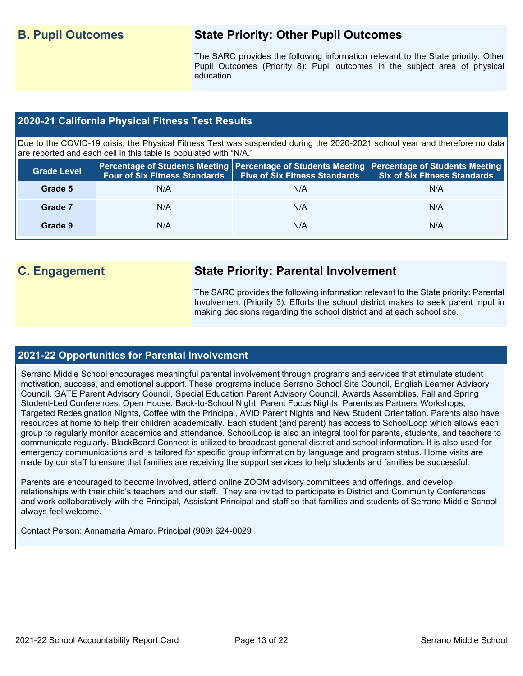## **B. Pupil Outcomes State Priority: Other Pupil Outcomes**

The SARC provides the following information relevant to the State priority: Other Pupil Outcomes (Priority 8): Pupil outcomes in the subject area of physical education.

#### **2020-21 California Physical Fitness Test Results**

Due to the COVID-19 crisis, the Physical Fitness Test was suspended during the 2020-2021 school year and therefore no data are reported and each cell in this table is populated with "N/A."

| <b>Grade Level</b> |     | Four of Six Fitness Standards   Five of Six Fitness Standards | <b>Percentage of Students Meeting   Percentage of Students Meeting   Percentage of Students Meeting  </b><br>Six of Six Fitness Standards |
|--------------------|-----|---------------------------------------------------------------|-------------------------------------------------------------------------------------------------------------------------------------------|
| Grade 5            | N/A | N/A                                                           | N/A                                                                                                                                       |
| Grade 7            | N/A | N/A                                                           | N/A                                                                                                                                       |
| Grade 9            | N/A | N/A                                                           | N/A                                                                                                                                       |

## **C. Engagement State Priority: Parental Involvement**

The SARC provides the following information relevant to the State priority: Parental Involvement (Priority 3): Efforts the school district makes to seek parent input in making decisions regarding the school district and at each school site.

#### **2021-22 Opportunities for Parental Involvement**

Serrano Middle School encourages meaningful parental involvement through programs and services that stimulate student motivation, success, and emotional support. These programs include Serrano School Site Council, English Learner Advisory Council, GATE Parent Advisory Council, Special Education Parent Advisory Council, Awards Assemblies, Fall and Spring Student-Led Conferences, Open House, Back-to-School Night, Parent Focus Nights, Parents as Partners Workshops, Targeted Redesignation Nights, Coffee with the Principal, AVID Parent Nights and New Student Orientation. Parents also have resources at home to help their children academically. Each student (and parent) has access to SchoolLoop which allows each group to regularly monitor academics and attendance. SchoolLoop is also an integral tool for parents, students, and teachers to communicate regularly. BlackBoard Connect is utilized to broadcast general district and school information. It is also used for emergency communications and is tailored for specific group information by language and program status. Home visits are made by our staff to ensure that families are receiving the support services to help students and families be successful.

Parents are encouraged to become involved, attend online ZOOM advisory committees and offerings, and develop relationships with their child's teachers and our staff. They are invited to participate in District and Community Conferences and work collaboratively with the Principal, Assistant Principal and staff so that families and students of Serrano Middle School always feel welcome.

Contact Person: Annamaria Amaro, Principal (909) 624-0029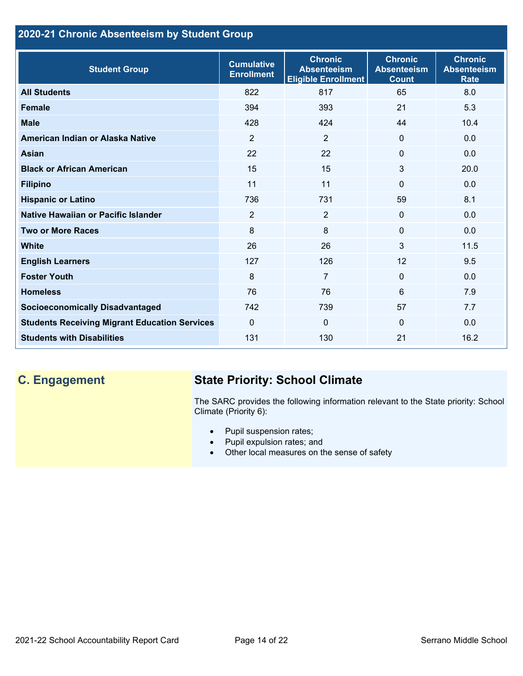## **2020-21 Chronic Absenteeism by Student Group**

| <b>Student Group</b>                                 | <b>Cumulative</b><br><b>Enrollment</b> | <b>Chronic</b><br><b>Absenteeism</b><br><b>Eligible Enrollment</b> | <b>Chronic</b><br><b>Absenteeism</b><br><b>Count</b> | <b>Chronic</b><br><b>Absenteeism</b><br><b>Rate</b> |
|------------------------------------------------------|----------------------------------------|--------------------------------------------------------------------|------------------------------------------------------|-----------------------------------------------------|
| <b>All Students</b>                                  | 822                                    | 817                                                                | 65                                                   | 8.0                                                 |
| <b>Female</b>                                        | 394                                    | 393                                                                | 21                                                   | 5.3                                                 |
| <b>Male</b>                                          | 428                                    | 424                                                                | 44                                                   | 10.4                                                |
| American Indian or Alaska Native                     | 2                                      | 2                                                                  | $\mathbf{0}$                                         | 0.0                                                 |
| <b>Asian</b>                                         | 22                                     | 22                                                                 | $\mathbf 0$                                          | 0.0                                                 |
| <b>Black or African American</b>                     | 15                                     | 15                                                                 | 3                                                    | 20.0                                                |
| <b>Filipino</b>                                      | 11                                     | 11                                                                 | $\mathbf{0}$                                         | 0.0                                                 |
| <b>Hispanic or Latino</b>                            | 736                                    | 731                                                                | 59                                                   | 8.1                                                 |
| Native Hawaiian or Pacific Islander                  | 2                                      | $\overline{2}$                                                     | $\mathbf 0$                                          | 0.0                                                 |
| <b>Two or More Races</b>                             | 8                                      | 8                                                                  | $\mathbf{0}$                                         | 0.0                                                 |
| <b>White</b>                                         | 26                                     | 26                                                                 | 3                                                    | 11.5                                                |
| <b>English Learners</b>                              | 127                                    | 126                                                                | 12                                                   | 9.5                                                 |
| <b>Foster Youth</b>                                  | 8                                      | $\overline{7}$                                                     | $\Omega$                                             | 0.0                                                 |
| <b>Homeless</b>                                      | 76                                     | 76                                                                 | 6                                                    | 7.9                                                 |
| <b>Socioeconomically Disadvantaged</b>               | 742                                    | 739                                                                | 57                                                   | 7.7                                                 |
| <b>Students Receiving Migrant Education Services</b> | $\mathbf{0}$                           | $\mathbf 0$                                                        | $\Omega$                                             | 0.0                                                 |
| <b>Students with Disabilities</b>                    | 131                                    | 130                                                                | 21                                                   | 16.2                                                |

# **C. Engagement State Priority: School Climate**

The SARC provides the following information relevant to the State priority: School Climate (Priority 6):

- Pupil suspension rates;
- Pupil expulsion rates; and
- Other local measures on the sense of safety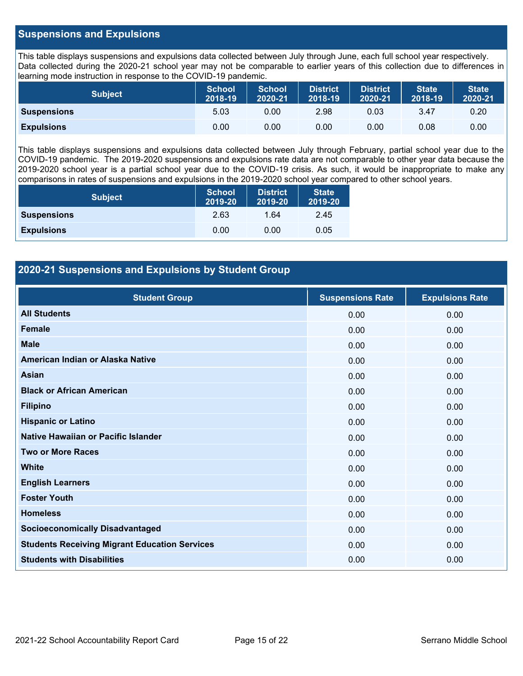#### **Suspensions and Expulsions**

This table displays suspensions and expulsions data collected between July through June, each full school year respectively. Data collected during the 2020-21 school year may not be comparable to earlier years of this collection due to differences in learning mode instruction in response to the COVID-19 pandemic.

| <b>Subject</b>     | <b>School</b><br>2018-19 | <b>School</b><br>2020-21 | <b>District</b><br>2018-19 | <b>District</b><br>2020-21 | <b>State</b><br>2018-19 | <b>State</b><br>2020-21 |
|--------------------|--------------------------|--------------------------|----------------------------|----------------------------|-------------------------|-------------------------|
| <b>Suspensions</b> | 5.03                     | 0.00                     | 2.98                       | 0.03                       | 3.47                    | 0.20                    |
| <b>Expulsions</b>  | 0.00                     | 0.00                     | 0.00                       | 0.00                       | 0.08                    | 0.00                    |

This table displays suspensions and expulsions data collected between July through February, partial school year due to the COVID-19 pandemic. The 2019-2020 suspensions and expulsions rate data are not comparable to other year data because the 2019-2020 school year is a partial school year due to the COVID-19 crisis. As such, it would be inappropriate to make any comparisons in rates of suspensions and expulsions in the 2019-2020 school year compared to other school years.

| <b>Subject</b>     | <b>School</b><br>2019-20 | <b>District</b><br>2019-20 | <b>State</b><br>2019-20 |
|--------------------|--------------------------|----------------------------|-------------------------|
| <b>Suspensions</b> | 2.63                     | 1.64                       | 2.45                    |
| <b>Expulsions</b>  | 0.00                     | 0.00                       | 0.05                    |

#### **2020-21 Suspensions and Expulsions by Student Group**

| <b>Student Group</b>                                 | <b>Suspensions Rate</b> | <b>Expulsions Rate</b> |
|------------------------------------------------------|-------------------------|------------------------|
| <b>All Students</b>                                  | 0.00                    | 0.00                   |
| <b>Female</b>                                        | 0.00                    | 0.00                   |
| <b>Male</b>                                          | 0.00                    | 0.00                   |
| American Indian or Alaska Native                     | 0.00                    | 0.00                   |
| <b>Asian</b>                                         | 0.00                    | 0.00                   |
| <b>Black or African American</b>                     | 0.00                    | 0.00                   |
| <b>Filipino</b>                                      | 0.00                    | 0.00                   |
| <b>Hispanic or Latino</b>                            | 0.00                    | 0.00                   |
| Native Hawaiian or Pacific Islander                  | 0.00                    | 0.00                   |
| <b>Two or More Races</b>                             | 0.00                    | 0.00                   |
| <b>White</b>                                         | 0.00                    | 0.00                   |
| <b>English Learners</b>                              | 0.00                    | 0.00                   |
| <b>Foster Youth</b>                                  | 0.00                    | 0.00                   |
| <b>Homeless</b>                                      | 0.00                    | 0.00                   |
| <b>Socioeconomically Disadvantaged</b>               | 0.00                    | 0.00                   |
| <b>Students Receiving Migrant Education Services</b> | 0.00                    | 0.00                   |
| <b>Students with Disabilities</b>                    | 0.00                    | 0.00                   |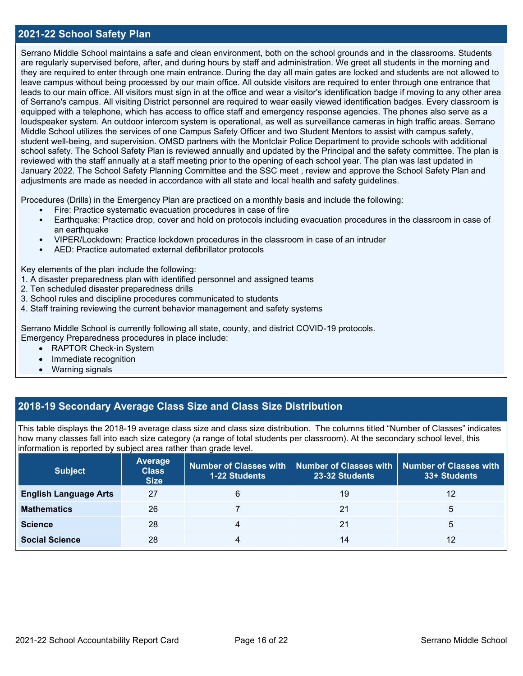#### **2021-22 School Safety Plan**

Serrano Middle School maintains a safe and clean environment, both on the school grounds and in the classrooms. Students are regularly supervised before, after, and during hours by staff and administration. We greet all students in the morning and they are required to enter through one main entrance. During the day all main gates are locked and students are not allowed to leave campus without being processed by our main office. All outside visitors are required to enter through one entrance that leads to our main office. All visitors must sign in at the office and wear a visitor's identification badge if moving to any other area of Serrano's campus. All visiting District personnel are required to wear easily viewed identification badges. Every classroom is equipped with a telephone, which has access to office staff and emergency response agencies. The phones also serve as a loudspeaker system. An outdoor intercom system is operational, as well as surveillance cameras in high traffic areas. Serrano Middle School utilizes the services of one Campus Safety Officer and two Student Mentors to assist with campus safety, student well-being, and supervision. OMSD partners with the Montclair Police Department to provide schools with additional school safety. The School Safety Plan is reviewed annually and updated by the Principal and the safety committee. The plan is reviewed with the staff annually at a staff meeting prior to the opening of each school year. The plan was last updated in January 2022. The School Safety Planning Committee and the SSC meet , review and approve the School Safety Plan and adjustments are made as needed in accordance with all state and local health and safety guidelines.

Procedures (Drills) in the Emergency Plan are practiced on a monthly basis and include the following:

- Fire: Practice systematic evacuation procedures in case of fire
- Earthquake: Practice drop, cover and hold on protocols including evacuation procedures in the classroom in case of an earthquake
- VIPER/Lockdown: Practice lockdown procedures in the classroom in case of an intruder
- AED: Practice automated external defibrillator protocols

Key elements of the plan include the following:

- 1. A disaster preparedness plan with identified personnel and assigned teams
- 2. Ten scheduled disaster preparedness drills
- 3. School rules and discipline procedures communicated to students
- 4. Staff training reviewing the current behavior management and safety systems

Serrano Middle School is currently following all state, county, and district COVID-19 protocols. Emergency Preparedness procedures in place include:

- RAPTOR Check-in System
- Immediate recognition
- Warning signals

#### **2018-19 Secondary Average Class Size and Class Size Distribution**

This table displays the 2018-19 average class size and class size distribution. The columns titled "Number of Classes" indicates how many classes fall into each size category (a range of total students per classroom). At the secondary school level, this information is reported by subject area rather than grade level.

| <b>Subject</b>               | <b>Average</b><br><b>Class</b><br><b>Size</b> | 1-22 Students | Number of Classes with   Number of Classes with   Number of Classes with<br>23-32 Students | 33+ Students |
|------------------------------|-----------------------------------------------|---------------|--------------------------------------------------------------------------------------------|--------------|
| <b>English Language Arts</b> | 27                                            | 6             | 19                                                                                         | 12           |
| <b>Mathematics</b>           | 26                                            |               | 21                                                                                         | 5            |
| <b>Science</b>               | 28                                            | 4             | 21                                                                                         | 5            |
| <b>Social Science</b>        | 28                                            | 4             | 14                                                                                         | 12           |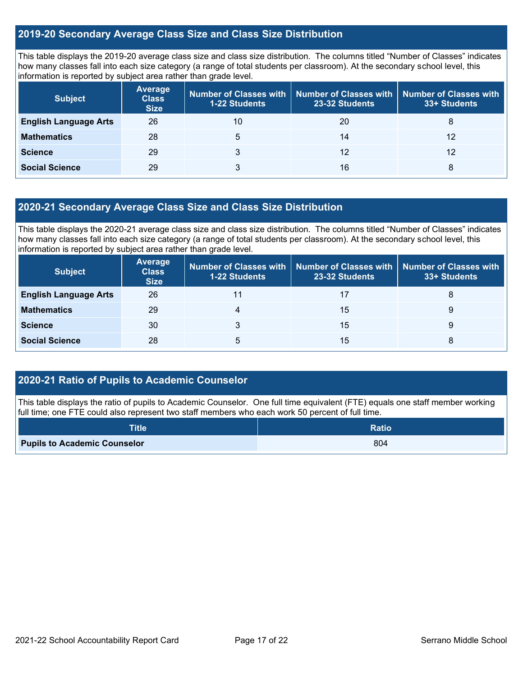#### **2019-20 Secondary Average Class Size and Class Size Distribution**

This table displays the 2019-20 average class size and class size distribution. The columns titled "Number of Classes" indicates how many classes fall into each size category (a range of total students per classroom). At the secondary school level, this information is reported by subject area rather than grade level.

| <b>Subject</b>               | <b>Average</b><br><b>Class</b><br><b>Size</b> | Number of Classes with<br><b>1-22 Students</b> | <b>Number of Classes with</b><br>23-32 Students | <b>Number of Classes with</b><br>33+ Students |
|------------------------------|-----------------------------------------------|------------------------------------------------|-------------------------------------------------|-----------------------------------------------|
| <b>English Language Arts</b> | 26                                            | 10                                             | 20                                              | 8                                             |
| <b>Mathematics</b>           | 28                                            | 5                                              | 14                                              | 12                                            |
| <b>Science</b>               | 29                                            | 3                                              | 12                                              | 12                                            |
| <b>Social Science</b>        | 29                                            |                                                | 16                                              | 8                                             |

#### **2020-21 Secondary Average Class Size and Class Size Distribution**

This table displays the 2020-21 average class size and class size distribution. The columns titled "Number of Classes" indicates how many classes fall into each size category (a range of total students per classroom). At the secondary school level, this information is reported by subject area rather than grade level.

| <b>Subject</b>               | <b>Average</b><br><b>Class</b><br><b>Size</b> | Number of Classes with<br><b>1-22 Students</b> | 23-32 Students | Number of Classes with   Number of Classes with<br>33+ Students |
|------------------------------|-----------------------------------------------|------------------------------------------------|----------------|-----------------------------------------------------------------|
| <b>English Language Arts</b> | 26                                            |                                                |                | 8                                                               |
| <b>Mathematics</b>           | 29                                            |                                                | 15             | 9                                                               |
| <b>Science</b>               | 30                                            |                                                | 15             | 9                                                               |
| <b>Social Science</b>        | 28                                            | 5                                              | 15             | 8                                                               |

#### **2020-21 Ratio of Pupils to Academic Counselor**

This table displays the ratio of pupils to Academic Counselor. One full time equivalent (FTE) equals one staff member working full time; one FTE could also represent two staff members who each work 50 percent of full time.

| <b>Title</b>                        | Ratio |
|-------------------------------------|-------|
| <b>Pupils to Academic Counselor</b> | 804   |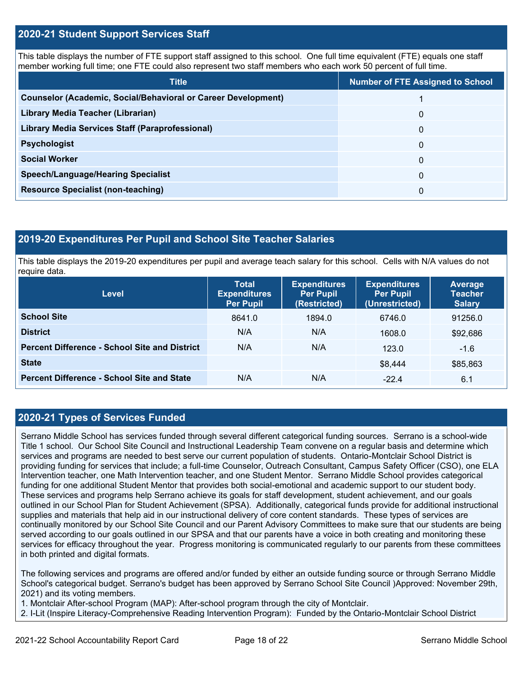#### **2020-21 Student Support Services Staff**

This table displays the number of FTE support staff assigned to this school. One full time equivalent (FTE) equals one staff member working full time; one FTE could also represent two staff members who each work 50 percent of full time.

| <b>Title</b>                                                         | <b>Number of FTE Assigned to School</b> |
|----------------------------------------------------------------------|-----------------------------------------|
| <b>Counselor (Academic, Social/Behavioral or Career Development)</b> |                                         |
| Library Media Teacher (Librarian)                                    | 0                                       |
| Library Media Services Staff (Paraprofessional)                      | 0                                       |
| <b>Psychologist</b>                                                  | 0                                       |
| <b>Social Worker</b>                                                 | $\Omega$                                |
| <b>Speech/Language/Hearing Specialist</b>                            | 0                                       |
| <b>Resource Specialist (non-teaching)</b>                            | 0                                       |

#### **2019-20 Expenditures Per Pupil and School Site Teacher Salaries**

This table displays the 2019-20 expenditures per pupil and average teach salary for this school. Cells with N/A values do not require data.

| Level                                                | <b>Total</b><br><b>Expenditures</b><br><b>Per Pupil</b> | <b>Expenditures</b><br><b>Per Pupil</b><br>(Restricted) | <b>Expenditures</b><br><b>Per Pupil</b><br>(Unrestricted) | <b>Average</b><br><b>Teacher</b><br><b>Salary</b> |  |
|------------------------------------------------------|---------------------------------------------------------|---------------------------------------------------------|-----------------------------------------------------------|---------------------------------------------------|--|
| <b>School Site</b>                                   | 8641.0                                                  | 1894.0                                                  | 6746.0                                                    | 91256.0                                           |  |
| <b>District</b>                                      | N/A                                                     | N/A                                                     | 1608.0                                                    | \$92,686                                          |  |
| <b>Percent Difference - School Site and District</b> | N/A                                                     | N/A                                                     | 123.0                                                     | $-1.6$                                            |  |
| <b>State</b>                                         |                                                         |                                                         | \$8,444                                                   | \$85,863                                          |  |
| <b>Percent Difference - School Site and State</b>    | N/A                                                     | N/A                                                     | $-22.4$                                                   | 6.1                                               |  |

#### **2020-21 Types of Services Funded**

Serrano Middle School has services funded through several different categorical funding sources. Serrano is a school-wide Title 1 school. Our School Site Council and Instructional Leadership Team convene on a regular basis and determine which services and programs are needed to best serve our current population of students. Ontario-Montclair School District is providing funding for services that include; a full-time Counselor, Outreach Consultant, Campus Safety Officer (CSO), one ELA Intervention teacher, one Math Intervention teacher, and one Student Mentor. Serrano Middle School provides categorical funding for one additional Student Mentor that provides both social-emotional and academic support to our student body. These services and programs help Serrano achieve its goals for staff development, student achievement, and our goals outlined in our School Plan for Student Achievement (SPSA). Additionally, categorical funds provide for additional instructional supplies and materials that help aid in our instructional delivery of core content standards. These types of services are continually monitored by our School Site Council and our Parent Advisory Committees to make sure that our students are being served according to our goals outlined in our SPSA and that our parents have a voice in both creating and monitoring these services for efficacy throughout the year. Progress monitoring is communicated regularly to our parents from these committees in both printed and digital formats.

The following services and programs are offered and/or funded by either an outside funding source or through Serrano Middle School's categorical budget. Serrano's budget has been approved by Serrano School Site Council )Approved: November 29th, 2021) and its voting members.

1. Montclair After-school Program (MAP): After-school program through the city of Montclair.

2. I-Lit (Inspire Literacy-Comprehensive Reading Intervention Program): Funded by the Ontario-Montclair School District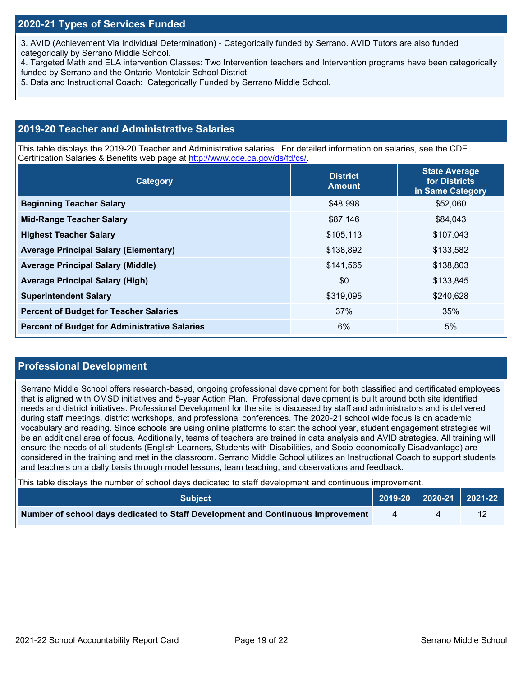3. AVID (Achievement Via Individual Determination) - Categorically funded by Serrano. AVID Tutors are also funded categorically by Serrano Middle School.

- 4. Targeted Math and ELA intervention Classes: Two Intervention teachers and Intervention programs have been categorically funded by Serrano and the Ontario-Montclair School District.
- 5. Data and Instructional Coach: Categorically Funded by Serrano Middle School.

#### **2019-20 Teacher and Administrative Salaries**

This table displays the 2019-20 Teacher and Administrative salaries. For detailed information on salaries, see the CDE Certification Salaries & Benefits web page at [http://www.cde.ca.gov/ds/fd/cs/.](http://www.cde.ca.gov/ds/fd/cs/)

| Category                                             | <b>District</b><br><b>Amount</b> | <b>State Average</b><br>for Districts<br>in Same Category |
|------------------------------------------------------|----------------------------------|-----------------------------------------------------------|
| <b>Beginning Teacher Salary</b>                      | \$48,998                         | \$52,060                                                  |
| <b>Mid-Range Teacher Salary</b>                      | \$87,146                         | \$84,043                                                  |
| <b>Highest Teacher Salary</b>                        | \$105,113                        | \$107,043                                                 |
| <b>Average Principal Salary (Elementary)</b>         | \$138,892                        | \$133,582                                                 |
| <b>Average Principal Salary (Middle)</b>             | \$141,565                        | \$138,803                                                 |
| <b>Average Principal Salary (High)</b>               | \$0                              | \$133,845                                                 |
| <b>Superintendent Salary</b>                         | \$319,095                        | \$240,628                                                 |
| <b>Percent of Budget for Teacher Salaries</b>        | 37%                              | 35%                                                       |
| <b>Percent of Budget for Administrative Salaries</b> | 6%                               | 5%                                                        |

#### **Professional Development**

Serrano Middle School offers research-based, ongoing professional development for both classified and certificated employees that is aligned with OMSD initiatives and 5-year Action Plan. Professional development is built around both site identified needs and district initiatives. Professional Development for the site is discussed by staff and administrators and is delivered during staff meetings, district workshops, and professional conferences. The 2020-21 school wide focus is on academic vocabulary and reading. Since schools are using online platforms to start the school year, student engagement strategies will be an additional area of focus. Additionally, teams of teachers are trained in data analysis and AVID strategies. All training will ensure the needs of all students (English Learners, Students with Disabilities, and Socio-economically Disadvantage) are considered in the training and met in the classroom. Serrano Middle School utilizes an Instructional Coach to support students and teachers on a dally basis through model lessons, team teaching, and observations and feedback.

This table displays the number of school days dedicated to staff development and continuous improvement.

| <b>Subject</b>                                                                  |  | $\big  2019-20 \big  2020-21 \big  2021-22 \big $ |
|---------------------------------------------------------------------------------|--|---------------------------------------------------|
| Number of school days dedicated to Staff Development and Continuous Improvement |  |                                                   |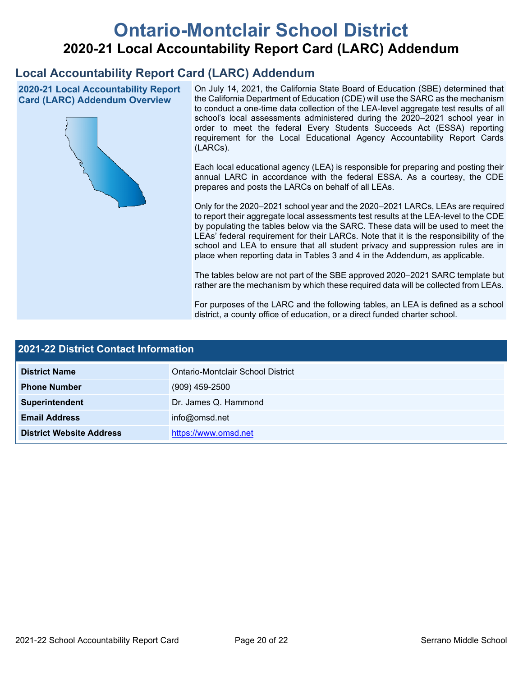# **Ontario-Montclair School District 2020-21 Local Accountability Report Card (LARC) Addendum**

## **Local Accountability Report Card (LARC) Addendum**

**2020-21 Local Accountability Report Card (LARC) Addendum Overview**



On July 14, 2021, the California State Board of Education (SBE) determined that the California Department of Education (CDE) will use the SARC as the mechanism to conduct a one-time data collection of the LEA-level aggregate test results of all school's local assessments administered during the 2020–2021 school year in order to meet the federal Every Students Succeeds Act (ESSA) reporting requirement for the Local Educational Agency Accountability Report Cards (LARCs).

Each local educational agency (LEA) is responsible for preparing and posting their annual LARC in accordance with the federal ESSA. As a courtesy, the CDE prepares and posts the LARCs on behalf of all LEAs.

Only for the 2020–2021 school year and the 2020–2021 LARCs, LEAs are required to report their aggregate local assessments test results at the LEA-level to the CDE by populating the tables below via the SARC. These data will be used to meet the LEAs' federal requirement for their LARCs. Note that it is the responsibility of the school and LEA to ensure that all student privacy and suppression rules are in place when reporting data in Tables 3 and 4 in the Addendum, as applicable.

The tables below are not part of the SBE approved 2020–2021 SARC template but rather are the mechanism by which these required data will be collected from LEAs.

For purposes of the LARC and the following tables, an LEA is defined as a school district, a county office of education, or a direct funded charter school.

| 2021-22 District Contact Information |                                   |  |  |
|--------------------------------------|-----------------------------------|--|--|
| <b>District Name</b>                 | Ontario-Montclair School District |  |  |
| <b>Phone Number</b>                  | $(909)$ 459-2500                  |  |  |
| Superintendent                       | Dr. James Q. Hammond              |  |  |
| <b>Email Address</b>                 | info@omsd.net                     |  |  |
| <b>District Website Address</b>      | https://www.omsd.net              |  |  |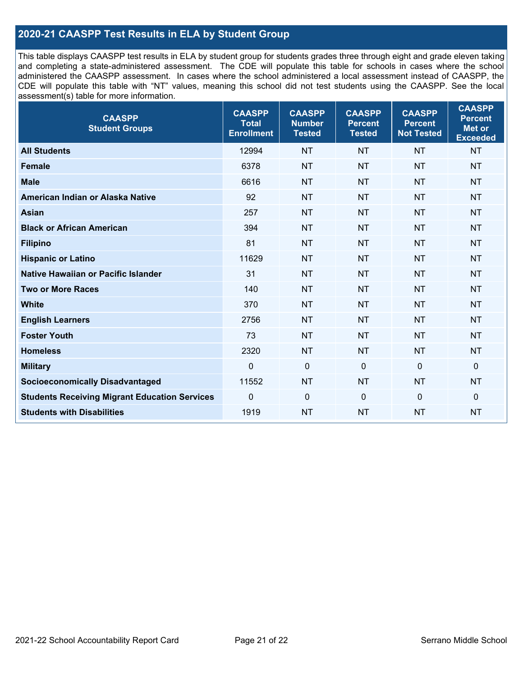### **2020-21 CAASPP Test Results in ELA by Student Group**

This table displays CAASPP test results in ELA by student group for students grades three through eight and grade eleven taking and completing a state-administered assessment. The CDE will populate this table for schools in cases where the school administered the CAASPP assessment. In cases where the school administered a local assessment instead of CAASPP, the CDE will populate this table with "NT" values, meaning this school did not test students using the CAASPP. See the local assessment(s) table for more information.

| <b>CAASPP</b><br><b>Student Groups</b>               | <b>CAASPP</b><br><b>Total</b><br><b>Enrollment</b> | <b>CAASPP</b><br><b>Number</b><br><b>Tested</b> | <b>CAASPP</b><br><b>Percent</b><br><b>Tested</b> | <b>CAASPP</b><br><b>Percent</b><br><b>Not Tested</b> | <b>CAASPP</b><br><b>Percent</b><br>Met or<br><b>Exceeded</b> |
|------------------------------------------------------|----------------------------------------------------|-------------------------------------------------|--------------------------------------------------|------------------------------------------------------|--------------------------------------------------------------|
| <b>All Students</b>                                  | 12994                                              | <b>NT</b>                                       | <b>NT</b>                                        | <b>NT</b>                                            | <b>NT</b>                                                    |
| <b>Female</b>                                        | 6378                                               | <b>NT</b>                                       | <b>NT</b>                                        | <b>NT</b>                                            | <b>NT</b>                                                    |
| <b>Male</b>                                          | 6616                                               | <b>NT</b>                                       | <b>NT</b>                                        | <b>NT</b>                                            | <b>NT</b>                                                    |
| American Indian or Alaska Native                     | 92                                                 | <b>NT</b>                                       | <b>NT</b>                                        | <b>NT</b>                                            | <b>NT</b>                                                    |
| <b>Asian</b>                                         | 257                                                | <b>NT</b>                                       | <b>NT</b>                                        | <b>NT</b>                                            | <b>NT</b>                                                    |
| <b>Black or African American</b>                     | 394                                                | <b>NT</b>                                       | <b>NT</b>                                        | <b>NT</b>                                            | <b>NT</b>                                                    |
| <b>Filipino</b>                                      | 81                                                 | <b>NT</b>                                       | <b>NT</b>                                        | <b>NT</b>                                            | <b>NT</b>                                                    |
| <b>Hispanic or Latino</b>                            | 11629                                              | <b>NT</b>                                       | <b>NT</b>                                        | <b>NT</b>                                            | <b>NT</b>                                                    |
| Native Hawaiian or Pacific Islander                  | 31                                                 | <b>NT</b>                                       | <b>NT</b>                                        | <b>NT</b>                                            | <b>NT</b>                                                    |
| <b>Two or More Races</b>                             | 140                                                | <b>NT</b>                                       | <b>NT</b>                                        | <b>NT</b>                                            | <b>NT</b>                                                    |
| <b>White</b>                                         | 370                                                | <b>NT</b>                                       | <b>NT</b>                                        | <b>NT</b>                                            | <b>NT</b>                                                    |
| <b>English Learners</b>                              | 2756                                               | <b>NT</b>                                       | <b>NT</b>                                        | <b>NT</b>                                            | <b>NT</b>                                                    |
| <b>Foster Youth</b>                                  | 73                                                 | <b>NT</b>                                       | <b>NT</b>                                        | <b>NT</b>                                            | <b>NT</b>                                                    |
| <b>Homeless</b>                                      | 2320                                               | <b>NT</b>                                       | <b>NT</b>                                        | <b>NT</b>                                            | <b>NT</b>                                                    |
| <b>Military</b>                                      | $\mathbf 0$                                        | $\mathbf 0$                                     | $\mathbf 0$                                      | $\mathbf 0$                                          | 0                                                            |
| <b>Socioeconomically Disadvantaged</b>               | 11552                                              | <b>NT</b>                                       | <b>NT</b>                                        | <b>NT</b>                                            | <b>NT</b>                                                    |
| <b>Students Receiving Migrant Education Services</b> | $\Omega$                                           | $\mathbf 0$                                     | $\mathbf{0}$                                     | $\Omega$                                             | 0                                                            |
| <b>Students with Disabilities</b>                    | 1919                                               | <b>NT</b>                                       | <b>NT</b>                                        | <b>NT</b>                                            | <b>NT</b>                                                    |